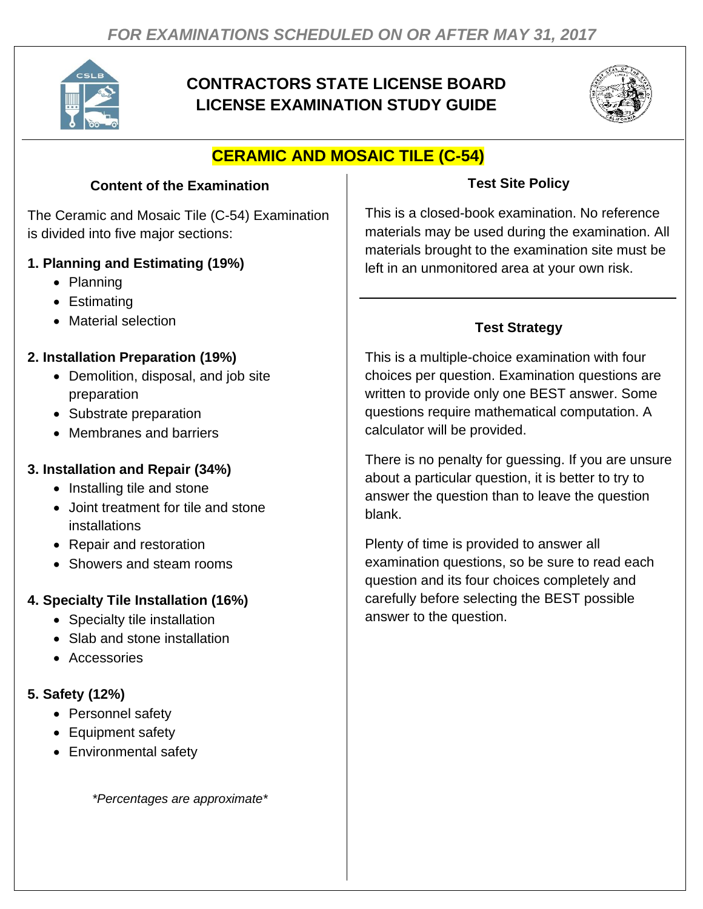

# **CONTRACTORS STATE LICENSE BOARD LICENSE EXAMINATION STUDY GUIDE**



# **CERAMIC AND MOSAIC TILE (C-54)**

#### **Content of the Examination**

The Ceramic and Mosaic Tile (C-54) Examination is divided into five major sections:

#### **1. Planning and Estimating (19%)**

- Planning
- Estimating
- Material selection

### **2. Installation Preparation (19%)**

- Demolition, disposal, and job site preparation
- Substrate preparation
- Membranes and barriers

### **3. Installation and Repair (34%)**

- Installing tile and stone
- Joint treatment for tile and stone installations
- Repair and restoration
- Showers and steam rooms

## **4. Specialty Tile Installation (16%)**

- Specialty tile installation
- Slab and stone installation
- Accessories

## **5. Safety (12%)**

- Personnel safety
- Equipment safety
- Environmental safety

*\*Percentages are approximate\**

### **Test Site Policy**

This is a closed-book examination. No reference materials may be used during the examination. All materials brought to the examination site must be left in an unmonitored area at your own risk.

## **Test Strategy**

This is a multiple-choice examination with four choices per question. Examination questions are written to provide only one BEST answer. Some questions require mathematical computation. A calculator will be provided.

There is no penalty for guessing. If you are unsure about a particular question, it is better to try to answer the question than to leave the question blank.

Plenty of time is provided to answer all examination questions, so be sure to read each question and its four choices completely and carefully before selecting the BEST possible answer to the question.